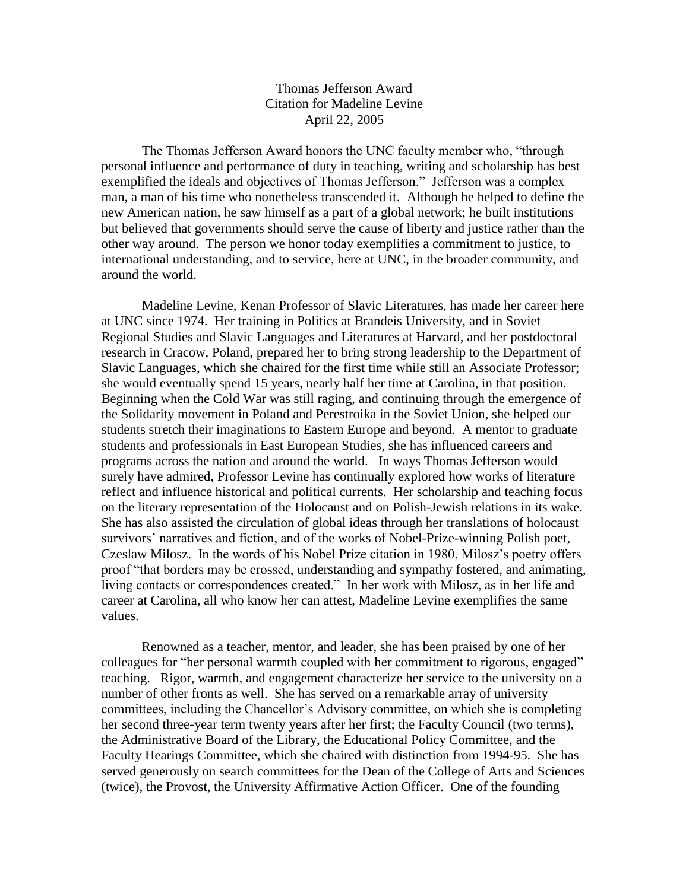## Thomas Jefferson Award Citation for Madeline Levine April 22, 2005

The Thomas Jefferson Award honors the UNC faculty member who, "through personal influence and performance of duty in teaching, writing and scholarship has best exemplified the ideals and objectives of Thomas Jefferson." Jefferson was a complex man, a man of his time who nonetheless transcended it. Although he helped to define the new American nation, he saw himself as a part of a global network; he built institutions but believed that governments should serve the cause of liberty and justice rather than the other way around. The person we honor today exemplifies a commitment to justice, to international understanding, and to service, here at UNC, in the broader community, and around the world.

Madeline Levine, Kenan Professor of Slavic Literatures, has made her career here at UNC since 1974. Her training in Politics at Brandeis University, and in Soviet Regional Studies and Slavic Languages and Literatures at Harvard, and her postdoctoral research in Cracow, Poland, prepared her to bring strong leadership to the Department of Slavic Languages, which she chaired for the first time while still an Associate Professor; she would eventually spend 15 years, nearly half her time at Carolina, in that position. Beginning when the Cold War was still raging, and continuing through the emergence of the Solidarity movement in Poland and Perestroika in the Soviet Union, she helped our students stretch their imaginations to Eastern Europe and beyond. A mentor to graduate students and professionals in East European Studies, she has influenced careers and programs across the nation and around the world. In ways Thomas Jefferson would surely have admired, Professor Levine has continually explored how works of literature reflect and influence historical and political currents. Her scholarship and teaching focus on the literary representation of the Holocaust and on Polish-Jewish relations in its wake. She has also assisted the circulation of global ideas through her translations of holocaust survivors' narratives and fiction, and of the works of Nobel-Prize-winning Polish poet, Czeslaw Milosz. In the words of his Nobel Prize citation in 1980, Milosz's poetry offers proof "that borders may be crossed, understanding and sympathy fostered, and animating, living contacts or correspondences created." In her work with Milosz, as in her life and career at Carolina, all who know her can attest, Madeline Levine exemplifies the same values.

Renowned as a teacher, mentor, and leader, she has been praised by one of her colleagues for "her personal warmth coupled with her commitment to rigorous, engaged" teaching. Rigor, warmth, and engagement characterize her service to the university on a number of other fronts as well. She has served on a remarkable array of university committees, including the Chancellor's Advisory committee, on which she is completing her second three-year term twenty years after her first; the Faculty Council (two terms), the Administrative Board of the Library, the Educational Policy Committee, and the Faculty Hearings Committee, which she chaired with distinction from 1994-95. She has served generously on search committees for the Dean of the College of Arts and Sciences (twice), the Provost, the University Affirmative Action Officer. One of the founding